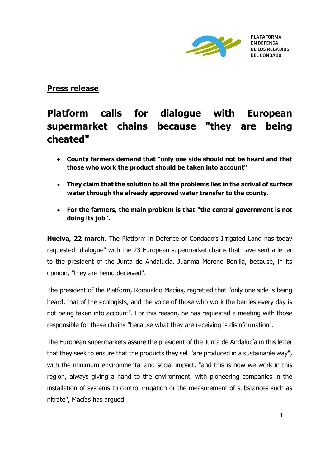

## **Press release**

## **Platform calls for dialogue with European supermarket chains because "they are being cheated"**

- **County farmers demand that "only one side should not be heard and that those who work the product should be taken into account"**
- **They claim that the solution to all the problems lies in the arrival of surface water through the already approved water transfer to the county.**
- **For the farmers, the main problem is that "the central government is not doing its job".**

**Huelva, 22 march**. The Platform in Defence of Condado's Irrigated Land has today requested "dialogue" with the 23 European supermarket chains that have sent a letter to the president of the Junta de Andalucía, Juanma Moreno Bonilla, because, in its opinion, "they are being deceived".

The president of the Platform, Romualdo Macías, regretted that "only one side is being heard, that of the ecologists, and the voice of those who work the berries every day is not being taken into account". For this reason, he has requested a meeting with those responsible for these chains "because what they are receiving is disinformation".

The European supermarkets assure the president of the Junta de Andalucía in this letter that they seek to ensure that the products they sell "are produced in a sustainable way", with the minimum environmental and social impact, "and this is how we work in this region, always giving a hand to the environment, with pioneering companies in the installation of systems to control irrigation or the measurement of substances such as nitrate", Macías has argued.